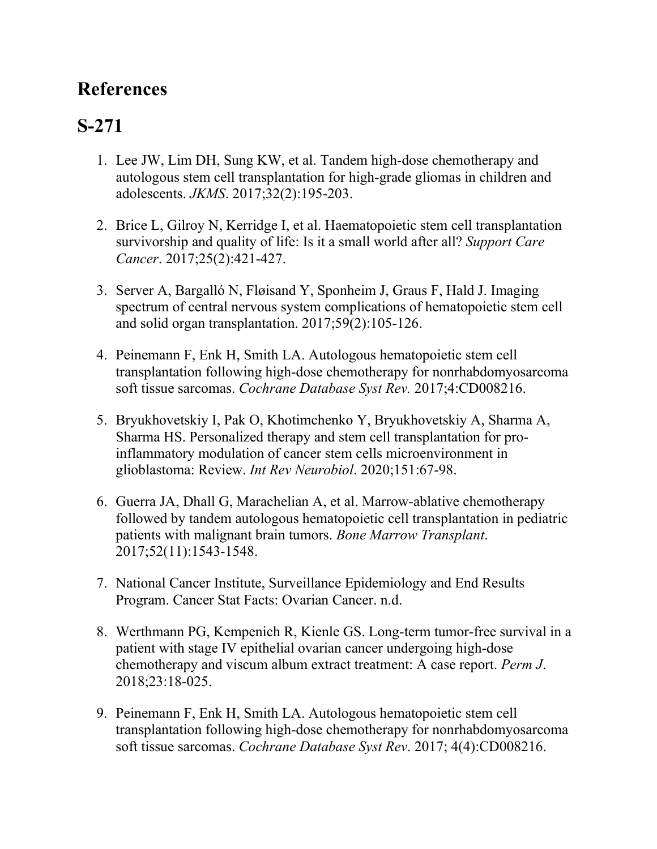## **References**

## **S-271**

- 1. Lee JW, Lim DH, Sung KW, et al. Tandem high-dose chemotherapy and autologous stem cell transplantation for high-grade gliomas in children and adolescents. *JKMS*. 2017;32(2):195-203.
- 2. Brice L, Gilroy N, Kerridge I, et al. Haematopoietic stem cell transplantation survivorship and quality of life: Is it a small world after all? *Support Care Cancer*. 2017;25(2):421-427.
- 3. Server A, Bargalló N, Fløisand Y, Sponheim J, Graus F, Hald J. Imaging spectrum of central nervous system complications of hematopoietic stem cell and solid organ transplantation. 2017;59(2):105-126.
- 4. Peinemann F, Enk H, Smith LA. Autologous hematopoietic stem cell transplantation following high-dose chemotherapy for nonrhabdomyosarcoma soft tissue sarcomas. *Cochrane Database Syst Rev.* 2017;4:CD008216.
- 5. Bryukhovetskiy I, Pak O, Khotimchenko Y, Bryukhovetskiy A, Sharma A, Sharma HS. Personalized therapy and stem cell transplantation for proinflammatory modulation of cancer stem cells microenvironment in glioblastoma: Review. *Int Rev Neurobiol*. 2020;151:67-98.
- 6. Guerra JA, Dhall G, Marachelian A, et al. Marrow-ablative chemotherapy followed by tandem autologous hematopoietic cell transplantation in pediatric patients with malignant brain tumors. *Bone Marrow Transplant*. 2017;52(11):1543-1548.
- 7. National Cancer Institute, Surveillance Epidemiology and End Results Program. Cancer Stat Facts: Ovarian Cancer. n.d.
- 8. Werthmann PG, Kempenich R, Kienle GS. Long-term tumor-free survival in a patient with stage IV epithelial ovarian cancer undergoing high-dose chemotherapy and viscum album extract treatment: A case report. *Perm J*. 2018;23:18-025.
- 9. Peinemann F, Enk H, Smith LA. Autologous hematopoietic stem cell transplantation following high-dose chemotherapy for nonrhabdomyosarcoma soft tissue sarcomas. *Cochrane Database Syst Rev*. 2017; 4(4):CD008216.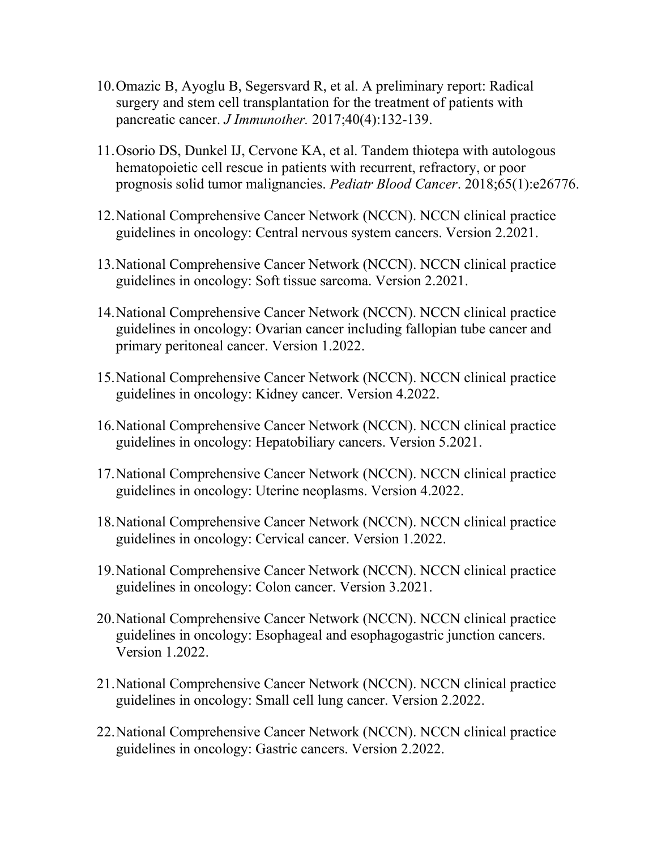- 10.Omazic B, Ayoglu B, Segersvard R, et al. A preliminary report: Radical surgery and stem cell transplantation for the treatment of patients with pancreatic cancer. *J Immunother.* 2017;40(4):132-139.
- 11.Osorio DS, Dunkel IJ, Cervone KA, et al. Tandem thiotepa with autologous hematopoietic cell rescue in patients with recurrent, refractory, or poor prognosis solid tumor malignancies. *Pediatr Blood Cancer*. 2018;65(1):e26776.
- 12.National Comprehensive Cancer Network (NCCN). NCCN clinical practice guidelines in oncology: Central nervous system cancers. Version 2.2021.
- 13.National Comprehensive Cancer Network (NCCN). NCCN clinical practice guidelines in oncology: Soft tissue sarcoma. Version 2.2021.
- 14.National Comprehensive Cancer Network (NCCN). NCCN clinical practice guidelines in oncology: Ovarian cancer including fallopian tube cancer and primary peritoneal cancer. Version 1.2022.
- 15.National Comprehensive Cancer Network (NCCN). NCCN clinical practice guidelines in oncology: Kidney cancer. Version 4.2022.
- 16.National Comprehensive Cancer Network (NCCN). NCCN clinical practice guidelines in oncology: Hepatobiliary cancers. Version 5.2021.
- 17.National Comprehensive Cancer Network (NCCN). NCCN clinical practice guidelines in oncology: Uterine neoplasms. Version 4.2022.
- 18.National Comprehensive Cancer Network (NCCN). NCCN clinical practice guidelines in oncology: Cervical cancer. Version 1.2022.
- 19.National Comprehensive Cancer Network (NCCN). NCCN clinical practice guidelines in oncology: Colon cancer. Version 3.2021.
- 20.National Comprehensive Cancer Network (NCCN). NCCN clinical practice guidelines in oncology: Esophageal and esophagogastric junction cancers. Version 1.2022.
- 21.National Comprehensive Cancer Network (NCCN). NCCN clinical practice guidelines in oncology: Small cell lung cancer. Version 2.2022.
- 22.National Comprehensive Cancer Network (NCCN). NCCN clinical practice guidelines in oncology: Gastric cancers. Version 2.2022.